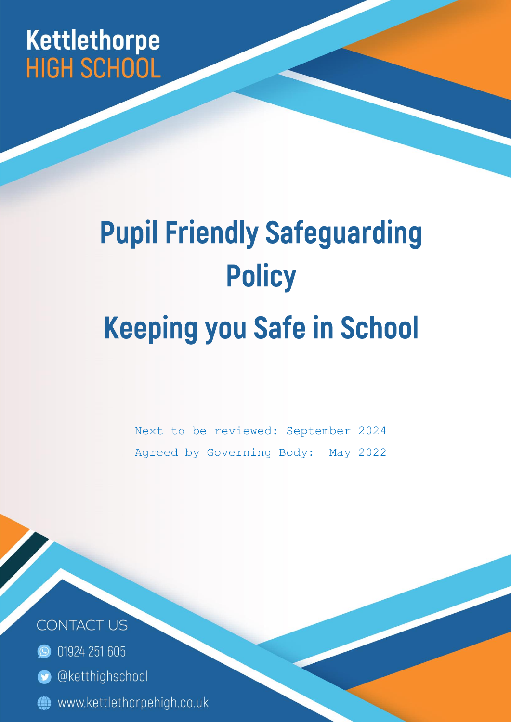## **Kettlethorpe HIGH SCHOOL**

# **Pupil Friendly Safeguarding Policy Keeping you Safe in School**

Next to be reviewed: September 2024 Agreed by Governing Body: May 2022

Page | 1



**C** 01924 251 605

- **O** @ketthighschool
- www.kettlethorpehigh.co.uk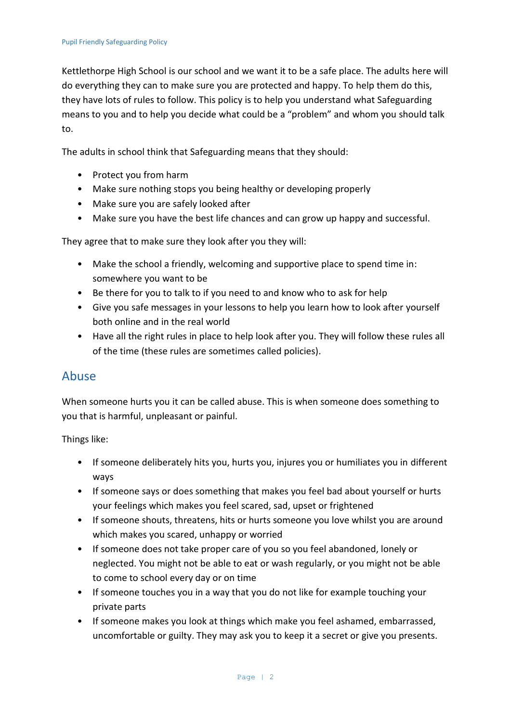Kettlethorpe High School is our school and we want it to be a safe place. The adults here will do everything they can to make sure you are protected and happy. To help them do this, they have lots of rules to follow. This policy is to help you understand what Safeguarding means to you and to help you decide what could be a "problem" and whom you should talk to.

The adults in school think that Safeguarding means that they should:

- Protect you from harm
- Make sure nothing stops you being healthy or developing properly
- Make sure you are safely looked after
- Make sure you have the best life chances and can grow up happy and successful.

They agree that to make sure they look after you they will:

- Make the school a friendly, welcoming and supportive place to spend time in: somewhere you want to be
- Be there for you to talk to if you need to and know who to ask for help
- Give you safe messages in your lessons to help you learn how to look after yourself both online and in the real world
- Have all the right rules in place to help look after you. They will follow these rules all of the time (these rules are sometimes called policies).

#### Abuse

When someone hurts you it can be called abuse. This is when someone does something to you that is harmful, unpleasant or painful.

Things like:

- If someone deliberately hits you, hurts you, injures you or humiliates you in different ways
- If someone says or does something that makes you feel bad about yourself or hurts your feelings which makes you feel scared, sad, upset or frightened
- If someone shouts, threatens, hits or hurts someone you love whilst you are around which makes you scared, unhappy or worried
- If someone does not take proper care of you so you feel abandoned, lonely or neglected. You might not be able to eat or wash regularly, or you might not be able to come to school every day or on time
- If someone touches you in a way that you do not like for example touching your private parts
- If someone makes you look at things which make you feel ashamed, embarrassed, uncomfortable or guilty. They may ask you to keep it a secret or give you presents.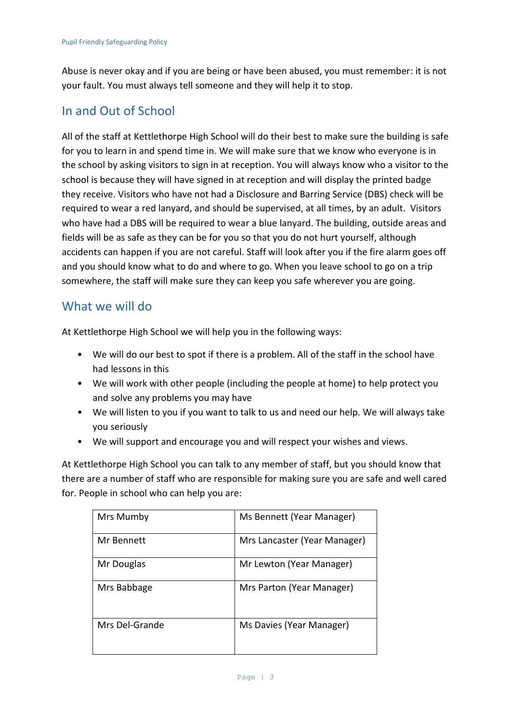Abuse is never okay and if you are being or have been abused, you must remember: it is not your fault. You must always tell someone and they will help it to stop.

#### In and Out of School

All of the staff at Kettlethorpe High School will do their best to make sure the building is safe for you to learn in and spend time in. We will make sure that we know who everyone is in the school by asking visitors to sign in at reception. You will always know who a visitor to the school is because they will have signed in at reception and will display the printed badge they receive. Visitors who have not had a Disclosure and Barring Service (DBS) check will be required to wear a red lanyard, and should be supervised, at all times, by an adult. Visitors who have had a DBS will be required to wear a blue lanyard. The building, outside areas and fields will be as safe as they can be for you so that you do not hurt yourself, although accidents can happen if you are not careful. Staff will look after you if the fire alarm goes off and you should know what to do and where to go. When you leave school to go on a trip somewhere, the staff will make sure they can keep you safe wherever you are going.

#### What we will do

At Kettlethorpe High School we will help you in the following ways:

- We will do our best to spot if there is a problem. All of the staff in the school have had lessons in this
- We will work with other people (including the people at home) to help protect you and solve any problems you may have
- We will listen to you if you want to talk to us and need our help. We will always take you seriously
- We will support and encourage you and will respect your wishes and views.

At Kettlethorpe High School you can talk to any member of staff, but you should know that there are a number of staff who are responsible for making sure you are safe and well cared for. People in school who can help you are:

| Mrs Mumby      | Ms Bennett (Year Manager)    |
|----------------|------------------------------|
| Mr Bennett     | Mrs Lancaster (Year Manager) |
| Mr Douglas     | Mr Lewton (Year Manager)     |
| Mrs Babbage    | Mrs Parton (Year Manager)    |
| Mrs Del-Grande | Ms Davies (Year Manager)     |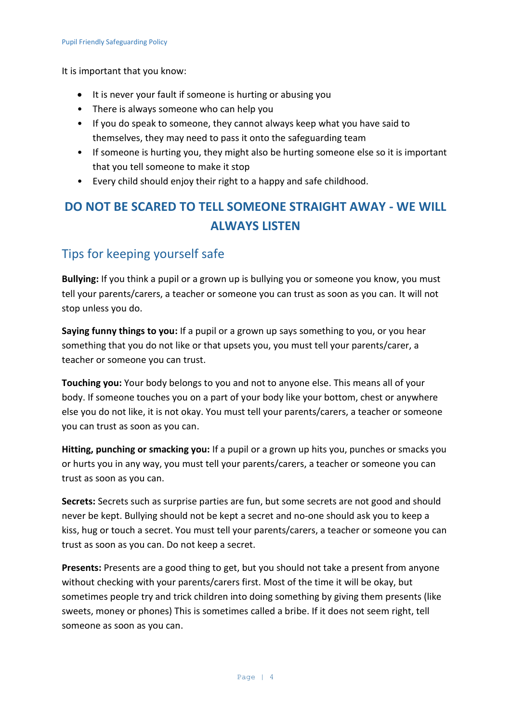It is important that you know:

- It is never your fault if someone is hurting or abusing you
- There is always someone who can help you
- If you do speak to someone, they cannot always keep what you have said to themselves, they may need to pass it onto the safeguarding team
- If someone is hurting you, they might also be hurting someone else so it is important that you tell someone to make it stop
- Every child should enjoy their right to a happy and safe childhood.

### **DO NOT BE SCARED TO TELL SOMEONE STRAIGHT AWAY - WE WILL ALWAYS LISTEN**

#### Tips for keeping yourself safe

**Bullying:** If you think a pupil or a grown up is bullying you or someone you know, you must tell your parents/carers, a teacher or someone you can trust as soon as you can. It will not stop unless you do.

**Saying funny things to you:** If a pupil or a grown up says something to you, or you hear something that you do not like or that upsets you, you must tell your parents/carer, a teacher or someone you can trust.

**Touching you:** Your body belongs to you and not to anyone else. This means all of your body. If someone touches you on a part of your body like your bottom, chest or anywhere else you do not like, it is not okay. You must tell your parents/carers, a teacher or someone you can trust as soon as you can.

**Hitting, punching or smacking you:** If a pupil or a grown up hits you, punches or smacks you or hurts you in any way, you must tell your parents/carers, a teacher or someone you can trust as soon as you can.

**Secrets:** Secrets such as surprise parties are fun, but some secrets are not good and should never be kept. Bullying should not be kept a secret and no-one should ask you to keep a kiss, hug or touch a secret. You must tell your parents/carers, a teacher or someone you can trust as soon as you can. Do not keep a secret.

**Presents:** Presents are a good thing to get, but you should not take a present from anyone without checking with your parents/carers first. Most of the time it will be okay, but sometimes people try and trick children into doing something by giving them presents (like sweets, money or phones) This is sometimes called a bribe. If it does not seem right, tell someone as soon as you can.